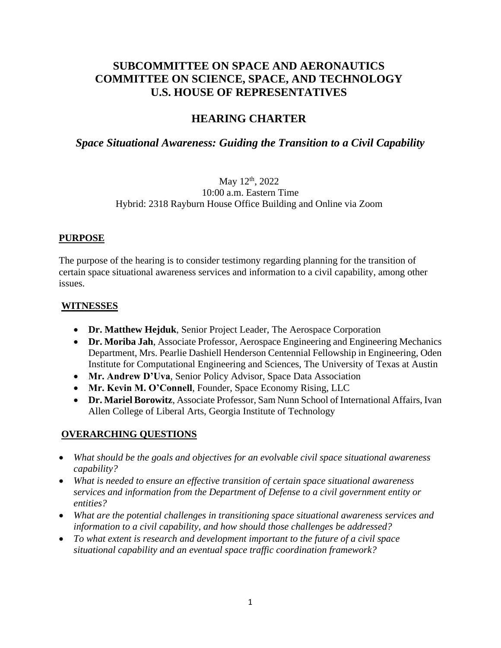# **SUBCOMMITTEE ON SPACE AND AERONAUTICS COMMITTEE ON SCIENCE, SPACE, AND TECHNOLOGY U.S. HOUSE OF REPRESENTATIVES**

# **HEARING CHARTER**

## *Space Situational Awareness: Guiding the Transition to a Civil Capability*

### May 12<sup>th</sup>, 2022 10:00 a.m. Eastern Time Hybrid: 2318 Rayburn House Office Building and Online via Zoom

#### **PURPOSE**

The purpose of the hearing is to consider testimony regarding planning for the transition of certain space situational awareness services and information to a civil capability, among other issues.

### **WITNESSES**

- **Dr. Matthew Hejduk**, Senior Project Leader, The Aerospace Corporation
- **Dr. Moriba Jah**, Associate Professor, Aerospace Engineering and Engineering Mechanics Department, Mrs. Pearlie Dashiell Henderson Centennial Fellowship in Engineering, Oden Institute for Computational Engineering and Sciences, The University of Texas at Austin
- **Mr. Andrew D'Uva**, Senior Policy Advisor, Space Data Association
- **Mr. Kevin M. O'Connell**, Founder, Space Economy Rising, LLC
- **Dr. Mariel Borowitz**, Associate Professor, Sam Nunn School of International Affairs, Ivan Allen College of Liberal Arts, Georgia Institute of Technology

### **OVERARCHING QUESTIONS**

- *What should be the goals and objectives for an evolvable civil space situational awareness capability?*
- *What is needed to ensure an effective transition of certain space situational awareness services and information from the Department of Defense to a civil government entity or entities?*
- *What are the potential challenges in transitioning space situational awareness services and information to a civil capability, and how should those challenges be addressed?*
- *To what extent is research and development important to the future of a civil space situational capability and an eventual space traffic coordination framework?*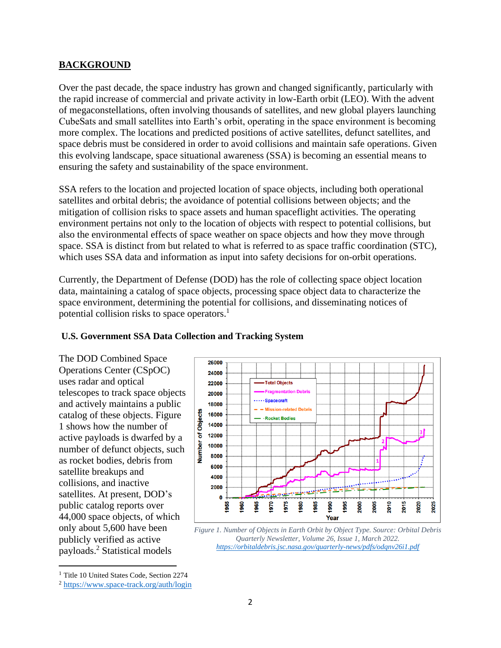#### **BACKGROUND**

Over the past decade, the space industry has grown and changed significantly, particularly with the rapid increase of commercial and private activity in low-Earth orbit (LEO). With the advent of megaconstellations, often involving thousands of satellites, and new global players launching CubeSats and small satellites into Earth's orbit, operating in the space environment is becoming more complex. The locations and predicted positions of active satellites, defunct satellites, and space debris must be considered in order to avoid collisions and maintain safe operations. Given this evolving landscape, space situational awareness (SSA) is becoming an essential means to ensuring the safety and sustainability of the space environment.

SSA refers to the location and projected location of space objects, including both operational satellites and orbital debris; the avoidance of potential collisions between objects; and the mitigation of collision risks to space assets and human spaceflight activities. The operating environment pertains not only to the location of objects with respect to potential collisions, but also the environmental effects of space weather on space objects and how they move through space. SSA is distinct from but related to what is referred to as space traffic coordination (STC), which uses SSA data and information as input into safety decisions for on-orbit operations.

Currently, the Department of Defense (DOD) has the role of collecting space object location data, maintaining a catalog of space objects, processing space object data to characterize the space environment, determining the potential for collisions, and disseminating notices of potential collision risks to space operators.<sup>1</sup>

**U.S. Government SSA Data Collection and Tracking System** 

The DOD Combined Space Operations Center (CSpOC) uses radar and optical telescopes to track space objects and actively maintains a public catalog of these objects. Figure 1 shows how the number of active payloads is dwarfed by a number of defunct objects, such as rocket bodies, debris from satellite breakups and collisions, and inactive satellites. At present, DOD's public catalog reports over 44,000 space objects, of which only about 5,600 have been publicly verified as active payloads. <sup>2</sup> Statistical models



*Figure 1. Number of Objects in Earth Orbit by Object Type. Source: Orbital Debris Quarterly Newsletter, Volume 26, Issue 1, March 2022. <https://orbitaldebris.jsc.nasa.gov/quarterly-news/pdfs/odqnv26i1.pdf>*

<sup>&</sup>lt;sup>1</sup> Title 10 United States Code, Section 2274

<sup>2</sup> <https://www.space-track.org/auth/login>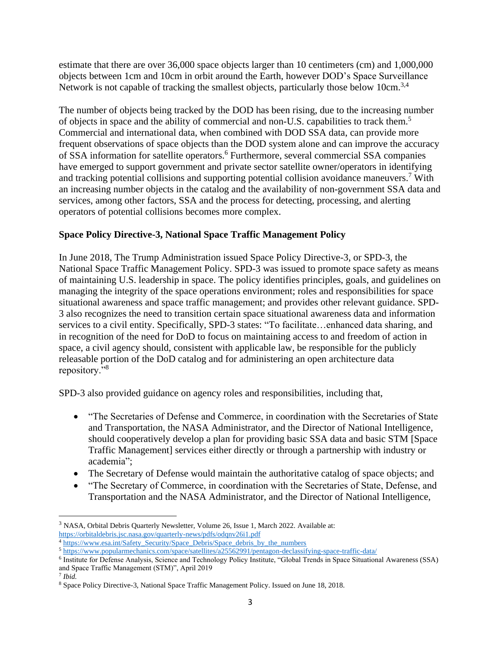estimate that there are over 36,000 space objects larger than 10 centimeters (cm) and 1,000,000 objects between 1cm and 10cm in orbit around the Earth, however DOD's Space Surveillance Network is not capable of tracking the smallest objects, particularly those below 10cm.<sup>3,4</sup>

The number of objects being tracked by the DOD has been rising, due to the increasing number of objects in space and the ability of commercial and non-U.S. capabilities to track them.<sup>5</sup> Commercial and international data, when combined with DOD SSA data, can provide more frequent observations of space objects than the DOD system alone and can improve the accuracy of SSA information for satellite operators.<sup>6</sup> Furthermore, several commercial SSA companies have emerged to support government and private sector satellite owner/operators in identifying and tracking potential collisions and supporting potential collision avoidance maneuvers.<sup>7</sup> With an increasing number objects in the catalog and the availability of non-government SSA data and services, among other factors, SSA and the process for detecting, processing, and alerting operators of potential collisions becomes more complex.

### **Space Policy Directive-3, National Space Traffic Management Policy**

In June 2018, The Trump Administration issued Space Policy Directive-3, or SPD-3, the National Space Traffic Management Policy. SPD-3 was issued to promote space safety as means of maintaining U.S. leadership in space. The policy identifies principles, goals, and guidelines on managing the integrity of the space operations environment; roles and responsibilities for space situational awareness and space traffic management; and provides other relevant guidance. SPD-3 also recognizes the need to transition certain space situational awareness data and information services to a civil entity. Specifically, SPD-3 states: "To facilitate...enhanced data sharing, and in recognition of the need for DoD to focus on maintaining access to and freedom of action in space, a civil agency should, consistent with applicable law, be responsible for the publicly releasable portion of the DoD catalog and for administering an open architecture data repository."<sup>8</sup>

SPD-3 also provided guidance on agency roles and responsibilities, including that,

- "The Secretaries of Defense and Commerce, in coordination with the Secretaries of State and Transportation, the NASA Administrator, and the Director of National Intelligence, should cooperatively develop a plan for providing basic SSA data and basic STM [Space Traffic Management] services either directly or through a partnership with industry or academia";
- The Secretary of Defense would maintain the authoritative catalog of space objects; and
- "The Secretary of Commerce, in coordination with the Secretaries of State, Defense, and Transportation and the NASA Administrator, and the Director of National Intelligence,

<sup>&</sup>lt;sup>3</sup> NASA, Orbital Debris Quarterly Newsletter, Volume 26, Issue 1, March 2022. Available at: <https://orbitaldebris.jsc.nasa.gov/quarterly-news/pdfs/odqnv26i1.pdf>

<sup>&</sup>lt;sup>4</sup> [https://www.esa.int/Safety\\_Security/Space\\_Debris/Space\\_debris\\_by\\_the\\_numbers](https://www.esa.int/Safety_Security/Space_Debris/Space_debris_by_the_numbers)

<sup>5</sup> <https://www.popularmechanics.com/space/satellites/a25562991/pentagon-declassifying-space-traffic-data/>

<sup>6</sup> Institute for Defense Analysis, Science and Technology Policy Institute, "Global Trends in Space Situational Awareness (SSA) and Space Traffic Management (STM)", April 2019

<sup>7</sup> *Ibid.*

<sup>8</sup> Space Policy Directive-3, National Space Traffic Management Policy. Issued on June 18, 2018.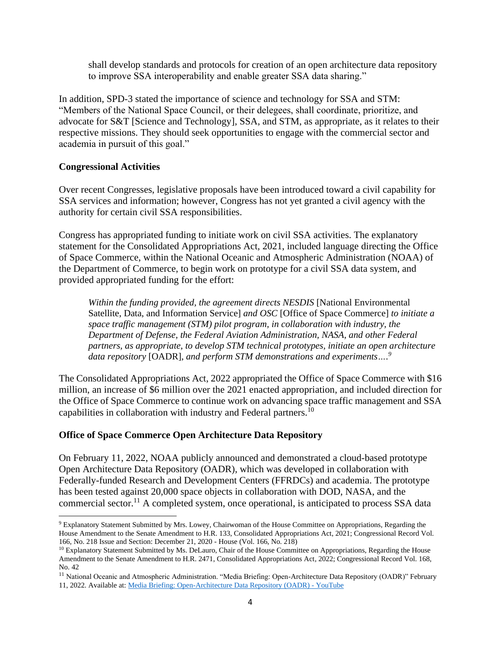shall develop standards and protocols for creation of an open architecture data repository to improve SSA interoperability and enable greater SSA data sharing."

In addition, SPD-3 stated the importance of science and technology for SSA and STM: "Members of the National Space Council, or their delegees, shall coordinate, prioritize, and advocate for S&T [Science and Technology], SSA, and STM, as appropriate, as it relates to their respective missions. They should seek opportunities to engage with the commercial sector and academia in pursuit of this goal."

#### **Congressional Activities**

Over recent Congresses, legislative proposals have been introduced toward a civil capability for SSA services and information; however, Congress has not yet granted a civil agency with the authority for certain civil SSA responsibilities.

Congress has appropriated funding to initiate work on civil SSA activities. The explanatory statement for the Consolidated Appropriations Act, 2021, included language directing the Office of Space Commerce, within the National Oceanic and Atmospheric Administration (NOAA) of the Department of Commerce, to begin work on prototype for a civil SSA data system, and provided appropriated funding for the effort:

*Within the funding provided, the agreement directs NESDIS* [National Environmental Satellite, Data, and Information Service] *and OSC* [Office of Space Commerce] *to initiate a space traffic management (STM) pilot program, in collaboration with industry, the Department of Defense, the Federal Aviation Administration, NASA, and other Federal partners, as appropriate, to develop STM technical prototypes, initiate an open architecture data repository* [OADR]*, and perform STM demonstrations and experiments…. 9*

The Consolidated Appropriations Act, 2022 appropriated the Office of Space Commerce with \$16 million, an increase of \$6 million over the 2021 enacted appropriation, and included direction for the Office of Space Commerce to continue work on advancing space traffic management and SSA capabilities in collaboration with industry and Federal partners.<sup>10</sup>

### **Office of Space Commerce Open Architecture Data Repository**

On February 11, 2022, NOAA publicly announced and demonstrated a cloud-based prototype Open Architecture Data Repository (OADR), which was developed in collaboration with Federally-funded Research and Development Centers (FFRDCs) and academia. The prototype has been tested against 20,000 space objects in collaboration with DOD, NASA, and the commercial sector.<sup>11</sup> A completed system, once operational, is anticipated to process SSA data

<sup>9</sup> Explanatory Statement Submitted by Mrs. Lowey, Chairwoman of the House Committee on Appropriations, Regarding the House Amendment to the Senate Amendment to H.R. 133, Consolidated Appropriations Act, 2021; Congressional Record Vol. 166, No. 218 Issue and Section: December 21, 2020 - House (Vol. 166, No. 218)

<sup>&</sup>lt;sup>10</sup> Explanatory Statement Submitted by Ms. DeLauro, Chair of the House Committee on Appropriations, Regarding the House Amendment to the Senate Amendment to H.R. 2471, Consolidated Appropriations Act, 2022; Congressional Record Vol. 168, No. 42

<sup>&</sup>lt;sup>11</sup> National Oceanic and Atmospheric Administration. "Media Briefing: Open-Architecture Data Repository (OADR)" February 11, 2022. Available at[: Media Briefing: Open-Architecture Data Repository \(OADR\) -](https://www.youtube.com/watch?v=XAJE7VpOelo) YouTube